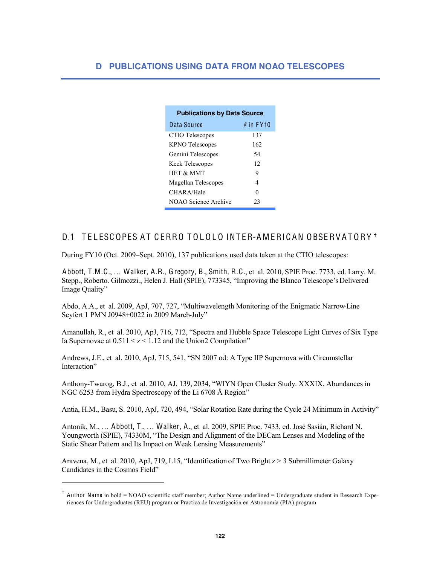| <b>Publications by Data Source</b> |             |
|------------------------------------|-------------|
| Data Source                        | $#$ in FY10 |
| CTIO Telescopes                    | 137         |
| <b>KPNO</b> Telescopes             | 162         |
| Gemini Telescopes                  | 54          |
| <b>Keck Telescopes</b>             | 12          |
| <b>HET &amp; MMT</b>               | 9           |
| Magellan Telescopes                | 4           |
| CHARA/Hale                         | 0           |
| NOAO Science Archive               | 23          |

## D.1 TELESCOPES AT CERRO TOLOLO INTER-AMERICAN OBSERVATORY<sup>+</sup>

During FY10 (Oct. 2009–Sept. 2010), 137 publications used data taken at the CTIO telescopes:

ŕ

Abbott, T.M.C., ... Walker, A.R., Gregory, B., Smith, R.C., et al. 2010, SPIE Proc. 7733, ed. Larry. M. Stepp., Roberto. Gilmozzi., Helen J. Hall (SPIE), 773345, "Improving the Blanco Telescope's Delivered Image Quality"

Abdo, A.A., et al. 2009, ApJ, 707, 727, "Multiwavelength Monitoring of the Enigmatic Narrow-Line Seyfert 1 PMN J0948+0022 in 2009 March-July"

Amanullah, R., et al. 2010, ApJ, 716, 712, "Spectra and Hubble Space Telescope Light Curves of Six Type Ia Supernovae at  $0.511 \le z \le 1.12$  and the Union2 Compilation"

Andrews, J.E., et al. 2010, ApJ, 715, 541, "SN 2007 od: A Type IIP Supernova with Circumstellar Interaction"

Anthony-Twarog, B.J., et al. 2010, AJ, 139, 2034, "WIYN Open Cluster Study. XXXIX. Abundances in NGC 6253 from Hydra Spectroscopy of the Li 6708 Å Region"

Antia, H.M., Basu, S. 2010, ApJ, 720, 494, "Solar Rotation Rate during the Cycle 24 Minimum in Activity"

Antonik, M., ... Abbott, T., ... Walker, A., et al. 2009, SPIE Proc. 7433, ed. José Sasián, Richard N. Youngworth (SPIE), 74330M, "The Design and Alignment of the DECam Lenses and Modeling of the Static Shear Pattern and Its Impact on Weak Lensing Measurements"

Aravena, M., et al. 2010, ApJ, 719, L15, "Identification of Two Bright z > 3 Submillimeter Galaxy Candidates in the Cosmos Field"

<sup>&</sup>lt;sup>†</sup> Author Name in bold = NOAO scientific staff member; Author Name underlined = Undergraduate student in Research Experiences for Undergraduates (REU) program or Practica de Investigación en Astronomía (PIA) program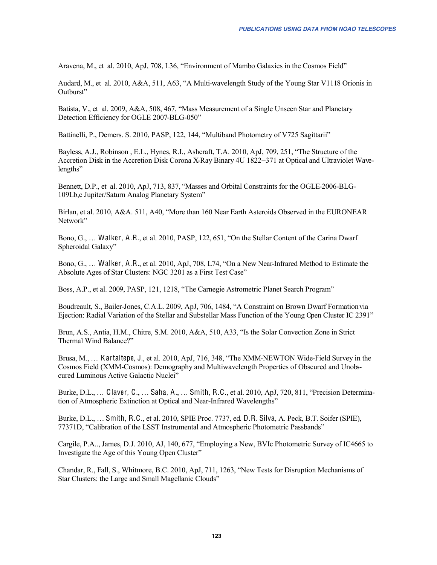Aravena, M., et al. 2010, ApJ, 708, L36, "Environment of Mambo Galaxies in the Cosmos Field"

Audard, M., et al. 2010, A&A, 511, A63, "A Multi-wavelength Study of the Young Star V1118 Orionis in Outburst"

Batista, V., et al. 2009, A&A, 508, 467, "Mass Measurement of a Single Unseen Star and Planetary Detection Efficiency for OGLE 2007-BLG-050"

Battinelli, P., Demers, S. 2010, PASP, 122, 144, "Multiband Photometry of V725 Sagittarii"

Bayless, A.J., Robinson, E.L., Hynes, R.I., Ashcraft, T.A. 2010, ApJ, 709, 251, "The Structure of the Accretion Disk in the Accretion Disk Corona X-Ray Binary 4U 1822-371 at Optical and Ultraviolet Wavelengths"

Bennett, D.P., et al. 2010, ApJ, 713, 837, "Masses and Orbital Constraints for the OGLE-2006-BLG-109Lb,c Jupiter/Saturn Analog Planetary System"

Birlan, et al. 2010, A&A. 511, A40, "More than 160 Near Earth Asteroids Observed in the EURONEAR Network"

Bono, G., ... Walker, A.R., et al. 2010, PASP, 122, 651, "On the Stellar Content of the Carina Dwarf Spheroidal Galaxy"

Bono, G., ... Walker, A.R., et al. 2010, ApJ, 708, L74, "On a New Near-Infrared Method to Estimate the Absolute Ages of Star Clusters: NGC 3201 as a First Test Case"

Boss, A.P., et al. 2009, PASP, 121, 1218, "The Carnegie Astrometric Planet Search Program"

Boudreault, S., Bailer-Jones, C.A.L. 2009, ApJ, 706, 1484, "A Constraint on Brown Dwarf Formation via Ejection: Radial Variation of the Stellar and Substellar Mass Function of the Young Open Cluster IC 2391"

Brun, A.S., Antia, H.M., Chitre, S.M. 2010, A&A, 510, A33, "Is the Solar Convection Zone in Strict Thermal Wind Balance?"

Brusa, M., ... Kartaltepe, J., et al. 2010, ApJ, 716, 348, "The XMM-NEWTON Wide-Field Survey in the Cosmos Field (XMM-Cosmos): Demography and Multiwavelength Properties of Obscured and Unobscured Luminous Active Galactic Nuclei"

Burke, D.L., ... Claver, C., ... Saha, A., ... Smith, R.C., et al. 2010, ApJ, 720, 811, "Precision Determination of Atmospheric Extinction at Optical and Near-Infrared Wavelengths"

Burke, D.L., ... Smith, R.C., et al. 2010, SPIE Proc. 7737, ed. D.R. Silva, A. Peck, B.T. Soifer (SPIE), 77371D, "Calibration of the LSST Instrumental and Atmospheric Photometric Passbands"

Cargile, P.A., James, D.J. 2010, AJ, 140, 677, "Employing a New, BVIc Photometric Survey of IC4665 to Investigate the Age of this Young Open Cluster"

Chandar, R., Fall, S., Whitmore, B.C. 2010, ApJ, 711, 1263, "New Tests for Disruption Mechanisms of Star Clusters: the Large and Small Magellanic Clouds"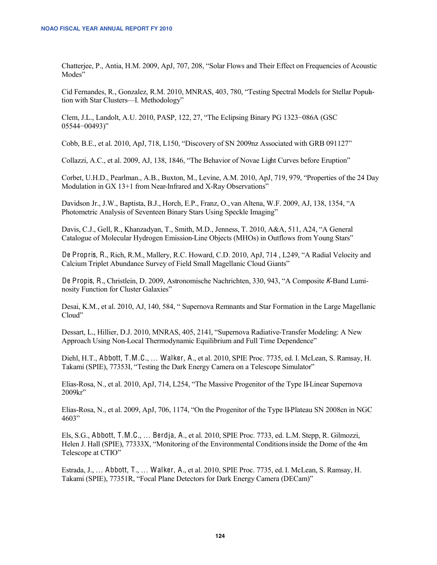Chatterjee, P., Antia, H.M. 2009, ApJ, 707, 208, "Solar Flows and Their Effect on Frequencies of Acoustic Modes"

Cid Fernandes, R., Gonzalez, R.M. 2010, MNRAS, 403, 780, "Testing Spectral Models for Stellar Popuhtion with Star Clusters-I. Methodology"

Clem, J.L., Landolt, A.U. 2010, PASP, 122, 27, "The Eclipsing Binary PG 1323-086A (GSC  $05544 - 00493$ "

Cobb, B.E., et al. 2010, ApJ, 718, L150, "Discovery of SN 2009nz Associated with GRB 091127"

Collazzi, A.C., et al. 2009, AJ, 138, 1846, "The Behavior of Novae Light Curves before Eruption"

Corbet, U.H.D., Pearlman., A.B., Buxton, M., Levine, A.M. 2010, ApJ, 719, 979, "Properties of the 24 Day Modulation in GX 13+1 from Near-Infrared and X-Ray Observations"

Davidson Jr., J.W., Baptista, B.J., Horch, E.P., Franz, O., van Altena, W.F. 2009, AJ, 138, 1354, "A Photometric Analysis of Seventeen Binary Stars Using Speckle Imaging"

Davis, C.J., Gell, R., Khanzadyan, T., Smith, M.D., Jenness, T. 2010, A&A, 511, A24, "A General Catalogue of Molecular Hydrogen Emission-Line Objects (MHOs) in Outflows from Young Stars"

De Propris, R., Rich, R.M., Mallery, R.C. Howard, C.D. 2010, ApJ, 714, L249, "A Radial Velocity and Calcium Triplet Abundance Survey of Field Small Magellanic Cloud Giants"

De Propis, R., Christlein, D. 2009, Astronomische Nachrichten, 330, 943, "A Composite K-Band Luminosity Function for Cluster Galaxies"

Desai, K.M., et al. 2010, AJ, 140, 584, "Supernova Remnants and Star Formation in the Large Magellanic Cloud"

Dessart, L., Hillier, D.J. 2010, MNRAS, 405, 2141, "Supernova Radiative-Transfer Modeling: A New Approach Using Non-Local Thermodynamic Equilibrium and Full Time Dependence"

Diehl, H.T., Abbott, T.M.C., ... Walker, A., et al. 2010, SPIE Proc. 7735, ed. I. McLean, S. Ramsay, H. Takami (SPIE), 77353I, "Testing the Dark Energy Camera on a Telescope Simulator"

Elias-Rosa, N., et al. 2010, ApJ, 714, L254, "The Massive Progenitor of the Type II-Linear Supernova  $2009kr$ 

Elias-Rosa, N., et al. 2009, ApJ, 706, 1174, "On the Progenitor of the Type II-Plateau SN 2008cn in NGC  $4603"$ 

Els, S.G., Abbott, T.M.C., ... Berdja, A., et al. 2010, SPIE Proc. 7733, ed. L.M. Stepp, R. Gilmozzi, Helen J. Hall (SPIE), 77333X, "Monitoring of the Environmental Conditions inside the Dome of the 4m Telescope at CTIO"

Estrada, J., ... Abbott, T., ... Walker, A., et al. 2010, SPIE Proc. 7735, ed. I. McLean, S. Ramsay, H. Takami (SPIE), 77351R, "Focal Plane Detectors for Dark Energy Camera (DECam)"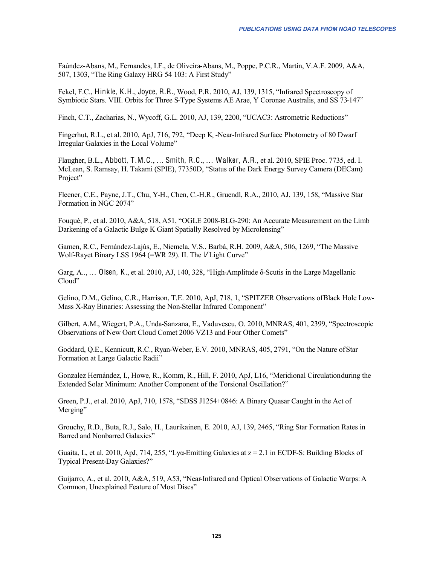Faúndez-Abans, M., Fernandes, I.F., de Oliveira-Abans, M., Poppe, P.C.R., Martin, V.A.F. 2009, A&A, 507, 1303, "The Ring Galaxy HRG 54 103: A First Study"

Fekel, F.C., Hinkle, K.H., Joyce, R.R., Wood, P.R. 2010, AJ, 139, 1315, "Infrared Spectroscopy of Symbiotic Stars. VIII. Orbits for Three S-Type Systems AE Arae, Y Coronae Australis, and SS 73-147"

Finch, C.T., Zacharias, N., Wycoff, G.L. 2010, AJ, 139, 2200, "UCAC3: Astrometric Reductions"

Fingerhut, R.L., et al. 2010, ApJ, 716, 792, "Deep K<sub>s</sub>-Near-Infrared Surface Photometry of 80 Dwarf Irregular Galaxies in the Local Volume"

Flaugher, B.L., Abbott, T.M.C., ... Smith, R.C., ... Walker, A.R., et al. 2010, SPIE Proc. 7735, ed. I. McLean, S. Ramsay, H. Takami (SPIE), 77350D, "Status of the Dark Energy Survey Camera (DECam) Project"

Fleener, C.E., Payne, J.T., Chu, Y-H., Chen, C.-H.R., Gruendl, R.A., 2010, AJ, 139, 158, "Massive Star Formation in NGC 2074"

Fouqué, P., et al. 2010, A&A, 518, A51, "OGLE 2008-BLG-290: An Accurate Measurement on the Limb Darkening of a Galactic Bulge K Giant Spatially Resolved by Microlensing"

Gamen, R.C., Fernández-Lajús, E., Niemela, V.S., Barbá, R.H. 2009, A&A, 506, 1269, "The Massive Wolf-Rayet Binary LSS 1964 (=WR 29). II. The *V* Light Curve"

Garg, A., ... Olsen, K., et al. 2010, AJ, 140, 328, "High-Amplitude  $\delta$ -Scutis in the Large Magellanic Cloud"

Gelino, D.M., Gelino, C.R., Harrison, T.E. 2010, ApJ, 718, 1, "SPITZER Observations of Black Hole Low-Mass X-Ray Binaries: Assessing the Non-Stellar Infrared Component"

Gilbert, A.M., Wiegert, P.A., Unda-Sanzana, E., Vaduvescu, O. 2010, MNRAS, 401, 2399, "Spectroscopic Observations of New Oort Cloud Comet 2006 VZ13 and Four Other Comets"

Goddard, O.E., Kennicutt, R.C., Ryan-Weber, E.V. 2010, MNRAS, 405, 2791, "On the Nature of Star Formation at Large Galactic Radii"

Gonzalez Hernández, I., Howe, R., Komm, R., Hill, F. 2010, ApJ, L16, "Meridional Circulation during the Extended Solar Minimum: Another Component of the Torsional Oscillation?"

Green, P.J., et al. 2010, ApJ, 710, 1578, "SDSS J1254+0846: A Binary Quasar Caught in the Act of Merging"

Grouchy, R.D., Buta, R.J., Salo, H., Laurikainen, E. 2010, AJ, 139, 2465, "Ring Star Formation Rates in Barred and Nonbarred Galaxies"

Guaita, L, et al. 2010, ApJ, 714, 255, "Lyo-Emitting Galaxies at  $z = 2.1$  in ECDF-S: Building Blocks of **Typical Present-Day Galaxies?"** 

Guijarro, A., et al. 2010, A&A, 519, A53, "Near-Infrared and Optical Observations of Galactic Warps: A Common, Unexplained Feature of Most Discs"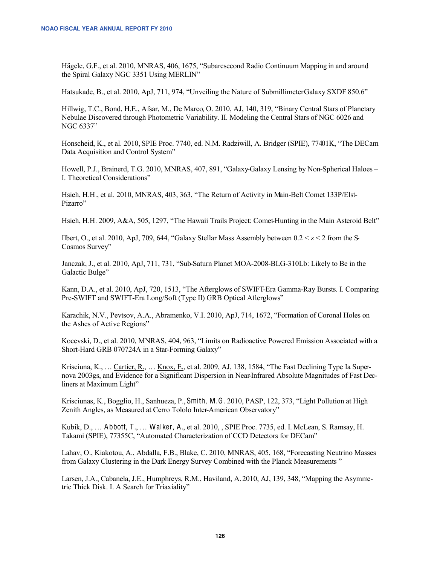Hägele, G.F., et al. 2010, MNRAS, 406, 1675, "Subarcsecond Radio Continuum Mapping in and around the Spiral Galaxy NGC 3351 Using MERLIN"

Hatsukade, B., et al. 2010, ApJ, 711, 974, "Unveiling the Nature of Submillimeter Galaxy SXDF 850.6"

Hillwig, T.C., Bond, H.E., Afsar, M., De Marco, O. 2010, AJ, 140, 319, "Binary Central Stars of Planetary Nebulae Discovered through Photometric Variability. II. Modeling the Central Stars of NGC 6026 and NGC 6337"

Honscheid, K., et al. 2010, SPIE Proc. 7740, ed. N.M. Radziwill, A. Bridger (SPIE), 77401K, "The DECam Data Acquisition and Control System"

Howell, P.J., Brainerd, T.G. 2010, MNRAS, 407, 891, "Galaxy-Galaxy Lensing by Non-Spherical Haloes -I. Theoretical Considerations"

Hsieh, H.H., et al. 2010, MNRAS, 403, 363, "The Return of Activity in Main-Belt Comet 133P/Elst-Pizarro"

Hsieh, H.H. 2009, A&A, 505, 1297, "The Hawaii Trails Project: Comet-Hunting in the Main Asteroid Belt"

Ilbert, O., et al. 2010, ApJ, 709, 644, "Galaxy Stellar Mass Assembly between  $0.2 < z < 2$  from the S-Cosmos Survey"

Janczak, J., et al. 2010, ApJ, 711, 731, "Sub-Saturn Planet MOA-2008-BLG-310Lb: Likely to Be in the Galactic Bulge"

Kann, D.A., et al. 2010, ApJ, 720, 1513, "The Afterglows of SWIFT-Era Gamma-Ray Bursts. I. Comparing Pre-SWIFT and SWIFT-Era Long/Soft (Type II) GRB Optical Afterglows"

Karachik, N.V., Pevtsov, A.A., Abramenko, V.I. 2010, ApJ, 714, 1672, "Formation of Coronal Holes on the Ashes of Active Regions"

Kocevski, D., et al. 2010, MNRAS, 404, 963, "Limits on Radioactive Powered Emission Associated with a Short-Hard GRB 070724A in a Star-Forming Galaxy"

Krisciuna, K., ... Cartier, R., ... Knox, E., et al. 2009, AJ, 138, 1584, "The Fast Declining Type Ia Supernova 2003gs, and Evidence for a Significant Dispersion in Near-Infrared Absolute Magnitudes of Fast Decliners at Maximum Light"

Krisciunas, K., Bogglio, H., Sanhueza, P., Smith, M.G. 2010, PASP, 122, 373, "Light Pollution at High Zenith Angles, as Measured at Cerro Tololo Inter-American Observatory"

Kubik, D., ... Abbott, T., ... Walker, A., et al. 2010, SPIE Proc. 7735, ed. I. McLean, S. Ramsay, H. Takami (SPIE), 77355C, "Automated Characterization of CCD Detectors for DECam"

Lahav, O., Kiakotou, A., Abdalla, F.B., Blake, C. 2010, MNRAS, 405, 168, "Forecasting Neutrino Masses from Galaxy Clustering in the Dark Energy Survey Combined with the Planck Measurements"

Larsen, J.A., Cabanela, J.E., Humphreys, R.M., Haviland, A. 2010, AJ, 139, 348, "Mapping the Asymmetric Thick Disk. I. A Search for Triaxiality"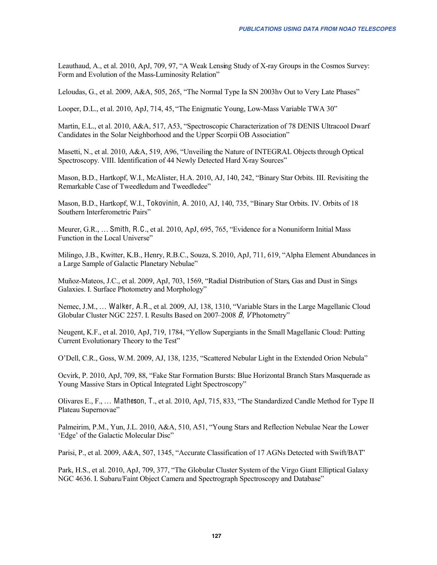Leauthaud, A., et al. 2010, ApJ, 709, 97, "A Weak Lensing Study of X-ray Groups in the Cosmos Survey: Form and Evolution of the Mass-Luminosity Relation"

Leloudas, G., et al. 2009, A&A, 505, 265, "The Normal Type Ia SN 2003hy Out to Very Late Phases"

Looper, D.L., et al. 2010, ApJ, 714, 45, "The Enigmatic Young, Low-Mass Variable TWA 30"

Martin, E.L., et al. 2010, A&A, 517, A53, "Spectroscopic Characterization of 78 DENIS Ultracool Dwarf Candidates in the Solar Neighborhood and the Upper Scorpii OB Association"

Masetti, N., et al. 2010, A&A, 519, A96, "Unveiling the Nature of INTEGRAL Objects through Optical Spectroscopy. VIII. Identification of 44 Newly Detected Hard X-ray Sources"

Mason, B.D., Hartkopf, W.I., McAlister, H.A. 2010, AJ, 140, 242, "Binary Star Orbits. III. Revisiting the Remarkable Case of Tweedledum and Tweedledee"

Mason, B.D., Hartkopf, W.I., Tokovinin, A. 2010, AJ, 140, 735, "Binary Star Orbits. IV. Orbits of 18 Southern Interferometric Pairs"

Meurer, G.R., ... Smith, R.C., et al. 2010, ApJ, 695, 765, "Evidence for a Nonuniform Initial Mass Function in the Local Universe"

Milingo, J.B., Kwitter, K.B., Henry, R.B.C., Souza, S. 2010, ApJ, 711, 619, "Alpha Element Abundances in a Large Sample of Galactic Planetary Nebulae"

Muñoz-Mateos, J.C., et al. 2009, ApJ, 703, 1569, "Radial Distribution of Stars, Gas and Dust in Sings Galaxies. I. Surface Photometry and Morphology"

Nemec, J.M., ... Walker, A.R., et al. 2009, AJ, 138, 1310, "Variable Stars in the Large Magellanic Cloud Globular Cluster NGC 2257. I. Results Based on 2007–2008 B. VPhotometry"

Neugent, K.F., et al. 2010, ApJ, 719, 1784, "Yellow Supergiants in the Small Magellanic Cloud: Putting Current Evolutionary Theory to the Test"

O'Dell, C.R., Goss, W.M. 2009, AJ, 138, 1235, "Scattered Nebular Light in the Extended Orion Nebula"

Ocvirk, P. 2010, ApJ, 709, 88, "Fake Star Formation Bursts: Blue Horizontal Branch Stars Masquerade as Young Massive Stars in Optical Integrated Light Spectroscopy"

Olivares E., F., ... Matheson, T., et al. 2010, ApJ, 715, 833, "The Standardized Candle Method for Type II Plateau Supernovae"

Palmeirim, P.M., Yun, J.L. 2010, A&A, 510, A51, "Young Stars and Reflection Nebulae Near the Lower 'Edge' of the Galactic Molecular Disc"

Parisi, P., et al. 2009, A&A, 507, 1345, "Accurate Classification of 17 AGNs Detected with Swift/BAT"

Park, H.S., et al. 2010, ApJ, 709, 377, "The Globular Cluster System of the Virgo Giant Elliptical Galaxy NGC 4636. I. Subaru/Faint Object Camera and Spectrograph Spectroscopy and Database"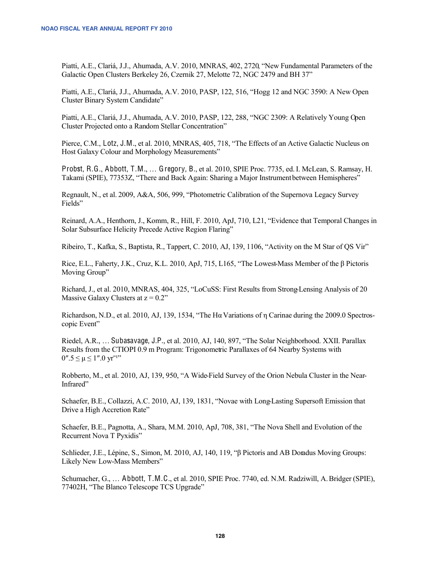Piatti, A.E., Clariá, J.J., Ahumada, A.V. 2010, MNRAS, 402, 2720, "New Fundamental Parameters of the Galactic Open Clusters Berkeley 26, Czernik 27, Melotte 72, NGC 2479 and BH 37"

Piatti, A.E., Clariá, J.J., Ahumada, A.V. 2010, PASP, 122, 516, "Hogg 12 and NGC 3590: A New Open Cluster Binary System Candidate"

Piatti, A.E., Clariá, J.J., Ahumada, A.V. 2010, PASP, 122, 288, "NGC 2309: A Relatively Young Open Cluster Projected onto a Random Stellar Concentration"

Pierce, C.M., Lotz, J.M., et al. 2010, MNRAS, 405, 718, "The Effects of an Active Galactic Nucleus on Host Galaxy Colour and Morphology Measurements"

Probst, R.G., Abbott, T.M., ... Gregory, B., et al. 2010, SPIE Proc. 7735, ed. I. McLean, S. Ramsay, H. Takami (SPIE), 77353Z, "There and Back Again: Sharing a Major Instrument between Hemispheres"

Regnault, N., et al. 2009, A&A, 506, 999, "Photometric Calibration of the Supernova Legacy Survey Fields"

Reinard, A.A., Henthorn, J., Komm, R., Hill, F. 2010, ApJ, 710, L21, "Evidence that Temporal Changes in Solar Subsurface Helicity Precede Active Region Flaring"

Ribeiro, T., Kafka, S., Baptista, R., Tappert, C. 2010, AJ, 139, 1106, "Activity on the M Star of OS Vir"

Rice, E.L., Faherty, J.K., Cruz, K.L. 2010, ApJ, 715, L165, "The Lowest-Mass Member of the B Pictoris Moving Group"

Richard, J., et al. 2010, MNRAS, 404, 325, "LoCuSS: First Results from Strong Lensing Analysis of 20 Massive Galaxy Clusters at  $z = 0.2$ "

Richardson, N.D., et al. 2010, AJ, 139, 1534, "The H $\alpha$  Variations of  $\eta$  Carinae during the 2009.0 Spectroscopic Event"

Riedel, A.R., ... Subasavage, J.P., et al. 2010, AJ, 140, 897, "The Solar Neighborhood. XXII. Parallax Results from the CTIOPI 0.9 m Program: Trigonometric Parallaxes of 64 Nearby Systems with  $0''.5 \leq \mu \leq 1''.0 \text{ yr}^{-1''}$ 

Robberto, M., et al. 2010, AJ, 139, 950, "A Wide-Field Survey of the Orion Nebula Cluster in the Near-Infrared"

Schaefer, B.E., Collazzi, A.C. 2010, AJ, 139, 1831, "Novae with Long-Lasting Supersoft Emission that Drive a High Accretion Rate"

Schaefer, B.E., Pagnotta, A., Shara, M.M. 2010, ApJ, 708, 381, "The Nova Shell and Evolution of the Recurrent Nova T Pyxidis"

Schlieder, J.E., Lépine, S., Simon, M. 2010, AJ, 140, 119, " $\beta$  Pictoris and AB Donadus Moving Groups: Likely New Low-Mass Members"

Schumacher, G., ... Abbott, T.M.C., et al. 2010, SPIE Proc. 7740, ed. N.M. Radziwill, A. Bridger (SPIE), 77402H, "The Blanco Telescope TCS Upgrade"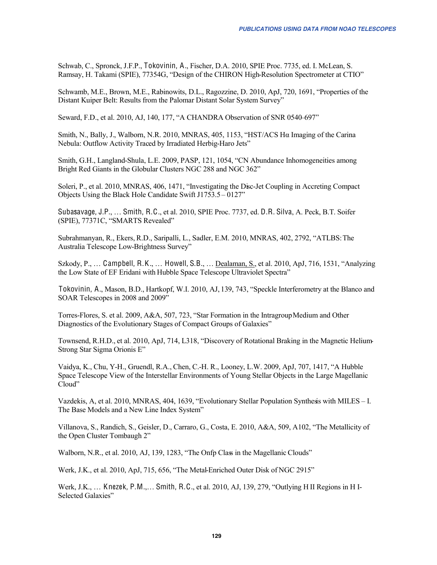Schwab, C., Spronck, J.F.P., Tokovinin, A., Fischer, D.A. 2010, SPIE Proc. 7735, ed. I. McLean, S. Ramsay, H. Takami (SPIE), 77354G, "Design of the CHIRON High-Resolution Spectrometer at CTIO"

Schwamb, M.E., Brown, M.E., Rabinowits, D.L., Ragozzine, D. 2010, ApJ, 720, 1691, "Properties of the Distant Kuiper Belt: Results from the Palomar Distant Solar System Survey"

Seward, F.D., et al. 2010, AJ, 140, 177, "A CHANDRA Observation of SNR 0540-697"

Smith, N., Bally, J., Walborn, N.R. 2010, MNRAS, 405, 1153, "HST/ACS H $\alpha$  Imaging of the Carina Nebula: Outflow Activity Traced by Irradiated Herbig-Haro Jets"

Smith, G.H., Langland-Shula, L.E. 2009, PASP, 121, 1054, "CN Abundance Inhomogeneities among Bright Red Giants in the Globular Clusters NGC 288 and NGC 362"

Soleri, P., et al. 2010, MNRAS, 406, 1471, "Investigating the Disc-Jet Coupling in Accreting Compact Objects Using the Black Hole Candidate Swift J1753.5 - 0127"

Subasavage, J.P., ... Smith, R.C., et al. 2010, SPIE Proc. 7737, ed. D.R. Silva, A. Peck, B.T. Soifer (SPIE), 77371C, "SMARTS Revealed"

Subrahmanyan, R., Ekers, R.D., Saripalli, L., Sadler, E.M. 2010, MNRAS, 402, 2792, "ATLBS: The Australia Telescope Low-Brightness Survey"

Szkody, P., ... Campbell, R.K., ... Howell, S.B., ... Dealaman, S., et al. 2010, ApJ, 716, 1531, "Analyzing the Low State of EF Eridani with Hubble Space Telescope Ultraviolet Spectra"

Tokovinin, A., Mason, B.D., Hartkopf, W.I. 2010, AJ, 139, 743, "Speckle Interferometry at the Blanco and SOAR Telescopes in 2008 and 2009"

Torres-Flores, S. et al. 2009, A&A, 507, 723, "Star Formation in the Intragroup Medium and Other Diagnostics of the Evolutionary Stages of Compact Groups of Galaxies"

Townsend, R.H.D., et al. 2010, ApJ, 714, L318, "Discovery of Rotational Braking in the Magnetic Helium-Strong Star Sigma Orionis E"

Vaidya, K., Chu, Y-H., Gruendl, R.A., Chen, C.-H. R., Looney, L.W. 2009, ApJ, 707, 1417, "A Hubble Space Telescope View of the Interstellar Environments of Young Stellar Objects in the Large Magellanic Cloud"

Vazdekis, A, et al. 2010, MNRAS, 404, 1639, "Evolutionary Stellar Population Synthesis with MILES – I. The Base Models and a New Line Index System"

Villanova, S., Randich, S., Geisler, D., Carraro, G., Costa, E. 2010, A&A, 509, A102, "The Metallicity of the Open Cluster Tombaugh 2"

Walborn, N.R., et al. 2010, AJ, 139, 1283, "The Onfp Class in the Magellanic Clouds"

Werk, J.K., et al. 2010, ApJ, 715, 656, "The Metal-Enriched Outer Disk of NGC 2915"

Werk, J.K., ... Knezek, P.M., ... Smith, R.C., et al. 2010, AJ, 139, 279, "Outlying H II Regions in H I-Selected Galaxies"